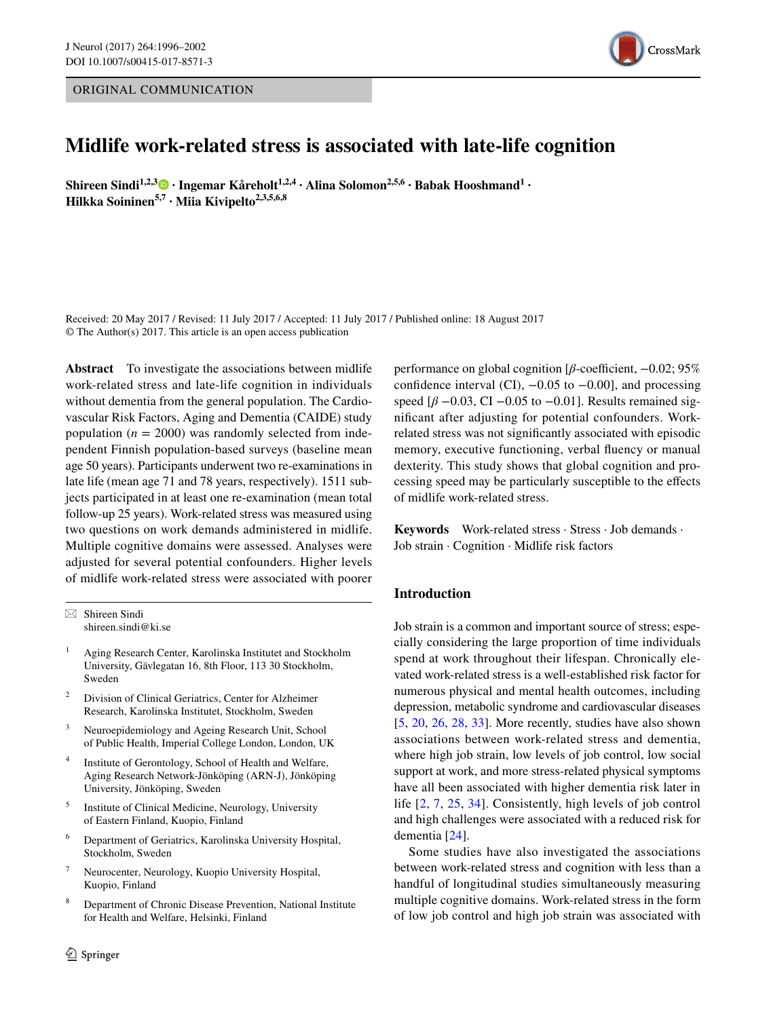# ORIGINAL COMMUNICATION



# **Midlife work‑related stress is associated with late‑life cognition**

**Shireen Sindi1,2,3 · Ingemar Kåreholt1,2,4 · Alina Solomon2,5,6 · Babak Hooshmand1 · Hilkka Soininen5,7 · Miia Kivipelto2,3,5,6,8**

Received: 20 May 2017 / Revised: 11 July 2017 / Accepted: 11 July 2017 / Published online: 18 August 2017 © The Author(s) 2017. This article is an open access publication

**Abstract** To investigate the associations between midlife work-related stress and late-life cognition in individuals without dementia from the general population. The Cardiovascular Risk Factors, Aging and Dementia (CAIDE) study population ( $n = 2000$ ) was randomly selected from independent Finnish population-based surveys (baseline mean age 50 years). Participants underwent two re-examinations in late life (mean age 71 and 78 years, respectively). 1511 subjects participated in at least one re-examination (mean total follow-up 25 years). Work-related stress was measured using two questions on work demands administered in midlife. Multiple cognitive domains were assessed. Analyses were adjusted for several potential confounders. Higher levels of midlife work-related stress were associated with poorer

- <sup>1</sup> Aging Research Center, Karolinska Institutet and Stockholm University, Gävlegatan 16, 8th Floor, 113 30 Stockholm, Sweden
- <sup>2</sup> Division of Clinical Geriatrics, Center for Alzheimer Research, Karolinska Institutet, Stockholm, Sweden
- <sup>3</sup> Neuroepidemiology and Ageing Research Unit, School of Public Health, Imperial College London, London, UK
- <sup>4</sup> Institute of Gerontology, School of Health and Welfare, Aging Research Network-Jönköping (ARN-J), Jönköping University, Jönköping, Sweden
- Institute of Clinical Medicine, Neurology, University of Eastern Finland, Kuopio, Finland
- <sup>6</sup> Department of Geriatrics, Karolinska University Hospital, Stockholm, Sweden
- <sup>7</sup> Neurocenter, Neurology, Kuopio University Hospital, Kuopio, Finland
- <sup>8</sup> Department of Chronic Disease Prevention, National Institute for Health and Welfare, Helsinki, Finland

performance on global cognition [*β*-coefficient, –0.02; 95% confidence interval (CI),  $-0.05$  to  $-0.00$ ], and processing speed  $\beta$  –0.03, CI –0.05 to –0.01]. Results remained signifcant after adjusting for potential confounders. Workrelated stress was not signifcantly associated with episodic memory, executive functioning, verbal fuency or manual dexterity. This study shows that global cognition and processing speed may be particularly susceptible to the efects of midlife work-related stress.

**Keywords** Work-related stress · Stress · Job demands · Job strain · Cognition · Midlife risk factors

# **Introduction**

Job strain is a common and important source of stress; especially considering the large proportion of time individuals spend at work throughout their lifespan. Chronically elevated work-related stress is a well-established risk factor for numerous physical and mental health outcomes, including depression, metabolic syndrome and cardiovascular diseases [[5,](#page-5-0) [20](#page-6-0), [26](#page-6-1), [28,](#page-6-2) [33](#page-6-3)]. More recently, studies have also shown associations between work-related stress and dementia, where high job strain, low levels of job control, low social support at work, and more stress-related physical symptoms have all been associated with higher dementia risk later in life [[2](#page-5-1), [7](#page-5-2), [25,](#page-6-4) [34\]](#page-6-5). Consistently, high levels of job control and high challenges were associated with a reduced risk for dementia [[24](#page-6-6)].

Some studies have also investigated the associations between work-related stress and cognition with less than a handful of longitudinal studies simultaneously measuring multiple cognitive domains. Work-related stress in the form of low job control and high job strain was associated with

 $\boxtimes$  Shireen Sindi shireen.sindi@ki.se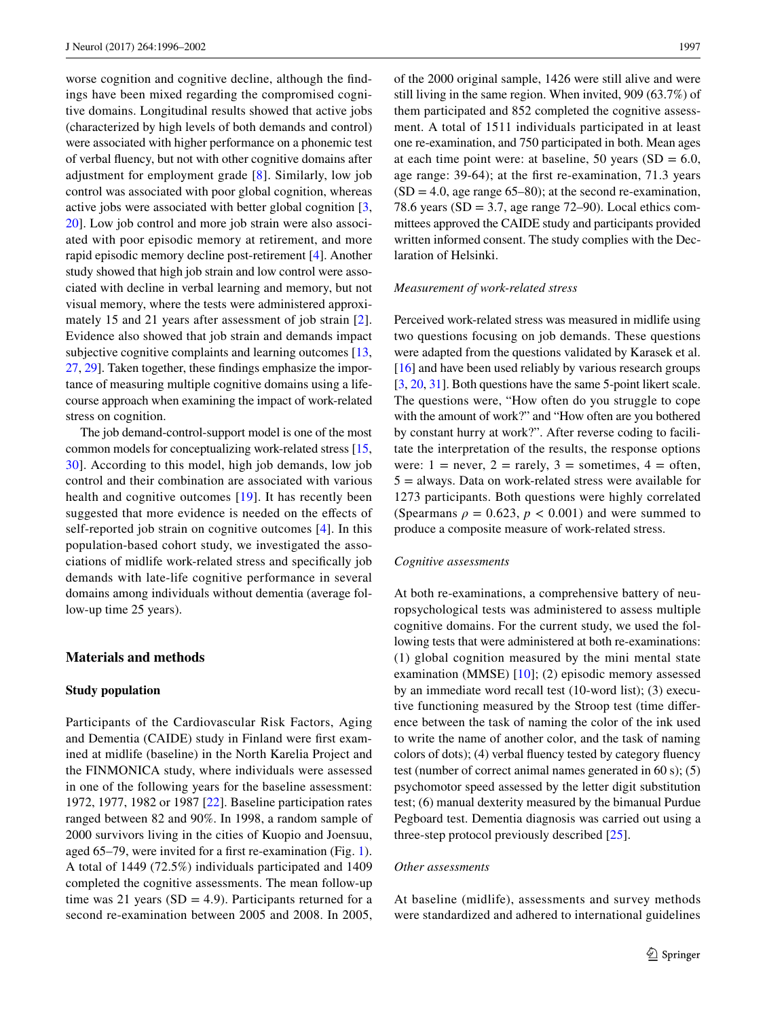worse cognition and cognitive decline, although the fndings have been mixed regarding the compromised cognitive domains. Longitudinal results showed that active jobs (characterized by high levels of both demands and control) were associated with higher performance on a phonemic test of verbal fuency, but not with other cognitive domains after adjustment for employment grade [[8](#page-5-3)]. Similarly, low job control was associated with poor global cognition, whereas active jobs were associated with better global cognition [[3,](#page-5-4) [20](#page-6-0)]. Low job control and more job strain were also associated with poor episodic memory at retirement, and more rapid episodic memory decline post-retirement [\[4](#page-5-5)]. Another study showed that high job strain and low control were associated with decline in verbal learning and memory, but not visual memory, where the tests were administered approxi-mately 15 and [2](#page-5-1)1 years after assessment of job strain [2]. Evidence also showed that job strain and demands impact subjective cognitive complaints and learning outcomes [[13,](#page-6-7) [27,](#page-6-8) [29\]](#page-6-9). Taken together, these fndings emphasize the importance of measuring multiple cognitive domains using a lifecourse approach when examining the impact of work-related stress on cognition.

The job demand-control-support model is one of the most common models for conceptualizing work-related stress [[15,](#page-6-10) [30](#page-6-11)]. According to this model, high job demands, low job control and their combination are associated with various health and cognitive outcomes [\[19\]](#page-6-12). It has recently been suggested that more evidence is needed on the efects of self-reported job strain on cognitive outcomes [[4\]](#page-5-5). In this population-based cohort study, we investigated the associations of midlife work-related stress and specifcally job demands with late-life cognitive performance in several domains among individuals without dementia (average follow-up time 25 years).

# **Materials and methods**

#### **Study population**

Participants of the Cardiovascular Risk Factors, Aging and Dementia (CAIDE) study in Finland were frst examined at midlife (baseline) in the North Karelia Project and the FINMONICA study, where individuals were assessed in one of the following years for the baseline assessment: 1972, 1977, 1982 or 1987 [[22\]](#page-6-13). Baseline participation rates ranged between 82 and 90%. In 1998, a random sample of 2000 survivors living in the cities of Kuopio and Joensuu, aged 65–79, were invited for a frst re-examination (Fig. [1](#page-2-0)). A total of 1449 (72.5%) individuals participated and 1409 completed the cognitive assessments. The mean follow-up time was 21 years ( $SD = 4.9$ ). Participants returned for a second re-examination between 2005 and 2008. In 2005,

of the 2000 original sample, 1426 were still alive and were still living in the same region. When invited, 909 (63.7%) of them participated and 852 completed the cognitive assessment. A total of 1511 individuals participated in at least one re-examination, and 750 participated in both. Mean ages at each time point were: at baseline, 50 years  $(SD = 6.0,$ age range: 39-64); at the frst re-examination, 71.3 years  $(SD = 4.0$ , age range 65–80); at the second re-examination, 78.6 years ( $SD = 3.7$ , age range 72–90). Local ethics committees approved the CAIDE study and participants provided written informed consent. The study complies with the Declaration of Helsinki.

## *Measurement of work‑related stress*

Perceived work-related stress was measured in midlife using two questions focusing on job demands. These questions were adapted from the questions validated by Karasek et al. [\[16\]](#page-6-14) and have been used reliably by various research groups [\[3](#page-5-4), [20,](#page-6-0) [31](#page-6-15)]. Both questions have the same 5-point likert scale. The questions were, "How often do you struggle to cope with the amount of work?" and "How often are you bothered by constant hurry at work?". After reverse coding to facilitate the interpretation of the results, the response options were:  $1 =$  never,  $2 =$  rarely,  $3 =$  sometimes,  $4 =$  often,  $5 =$  always. Data on work-related stress were available for 1273 participants. Both questions were highly correlated (Spearmans  $\rho = 0.623$ ,  $p < 0.001$ ) and were summed to produce a composite measure of work-related stress.

### *Cognitive assessments*

At both re-examinations, a comprehensive battery of neuropsychological tests was administered to assess multiple cognitive domains. For the current study, we used the following tests that were administered at both re-examinations: (1) global cognition measured by the mini mental state examination (MMSE) [[10](#page-6-16)]; (2) episodic memory assessed by an immediate word recall test (10-word list); (3) executive functioning measured by the Stroop test (time diference between the task of naming the color of the ink used to write the name of another color, and the task of naming colors of dots); (4) verbal fuency tested by category fuency test (number of correct animal names generated in 60 s); (5) psychomotor speed assessed by the letter digit substitution test; (6) manual dexterity measured by the bimanual Purdue Pegboard test. Dementia diagnosis was carried out using a three-step protocol previously described [[25](#page-6-4)].

#### *Other assessments*

At baseline (midlife), assessments and survey methods were standardized and adhered to international guidelines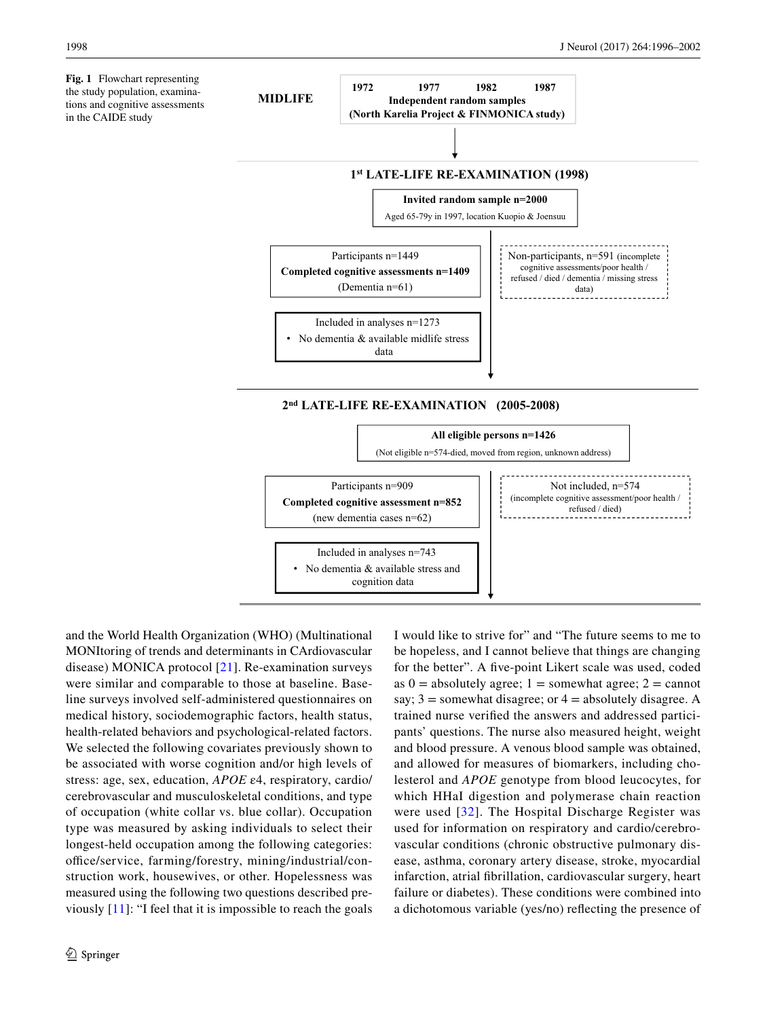<span id="page-2-0"></span>**Fig. 1** Flowchart representing the study population, examinations and cognitive assessments in the CAIDE study



and the World Health Organization (WHO) (Multinational MONItoring of trends and determinants in CArdiovascular disease) MONICA protocol [[21](#page-6-17)]. Re-examination surveys were similar and comparable to those at baseline. Baseline surveys involved self-administered questionnaires on medical history, sociodemographic factors, health status, health-related behaviors and psychological-related factors. We selected the following covariates previously shown to be associated with worse cognition and/or high levels of stress: age, sex, education, *APOE* ε4, respiratory, cardio/ cerebrovascular and musculoskeletal conditions, and type of occupation (white collar vs. blue collar). Occupation type was measured by asking individuals to select their longest-held occupation among the following categories: office/service, farming/forestry, mining/industrial/construction work, housewives, or other. Hopelessness was measured using the following two questions described previously [\[11](#page-6-18)]: "I feel that it is impossible to reach the goals I would like to strive for" and "The future seems to me to be hopeless, and I cannot believe that things are changing for the better". A fve-point Likert scale was used, coded as  $0 =$  absolutely agree;  $1 =$  somewhat agree;  $2 =$  cannot say;  $3 =$  somewhat disagree; or  $4 =$  absolutely disagree. A trained nurse verifed the answers and addressed participants' questions. The nurse also measured height, weight and blood pressure. A venous blood sample was obtained, and allowed for measures of biomarkers, including cholesterol and *APOE* genotype from blood leucocytes, for which HHaI digestion and polymerase chain reaction were used [[32\]](#page-6-19). The Hospital Discharge Register was used for information on respiratory and cardio/cerebrovascular conditions (chronic obstructive pulmonary disease, asthma, coronary artery disease, stroke, myocardial infarction, atrial fbrillation, cardiovascular surgery, heart failure or diabetes). These conditions were combined into a dichotomous variable (yes/no) refecting the presence of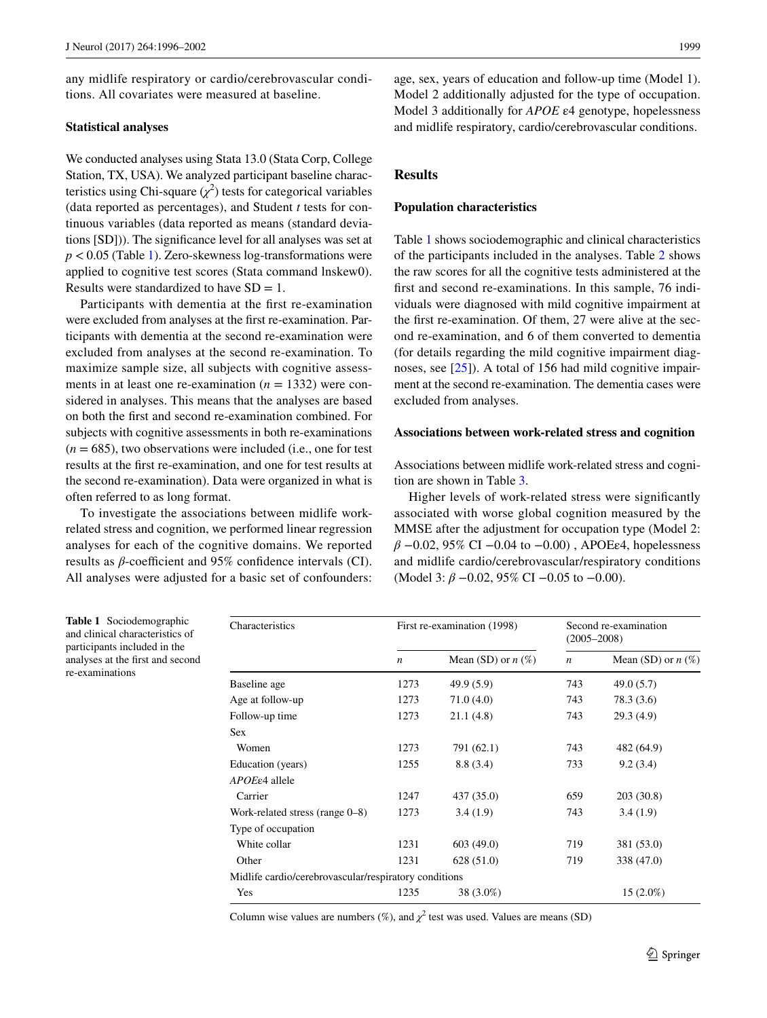any midlife respiratory or cardio/cerebrovascular conditions. All covariates were measured at baseline.

# **Statistical analyses**

We conducted analyses using Stata 13.0 (Stata Corp, College Station, TX, USA). We analyzed participant baseline characteristics using Chi-square  $(\chi^2)$  tests for categorical variables (data reported as percentages), and Student *t* tests for continuous variables (data reported as means (standard deviations [SD])). The signifcance level for all analyses was set at *p* < 0.05 (Table [1\)](#page-3-0). Zero-skewness log-transformations were applied to cognitive test scores (Stata command lnskew0). Results were standardized to have  $SD = 1$ .

Participants with dementia at the frst re-examination were excluded from analyses at the frst re-examination. Participants with dementia at the second re-examination were excluded from analyses at the second re-examination. To maximize sample size, all subjects with cognitive assessments in at least one re-examination  $(n = 1332)$  were considered in analyses. This means that the analyses are based on both the frst and second re-examination combined. For subjects with cognitive assessments in both re-examinations  $(n = 685)$ , two observations were included (i.e., one for test results at the frst re-examination, and one for test results at the second re-examination). Data were organized in what is often referred to as long format.

To investigate the associations between midlife workrelated stress and cognition, we performed linear regression analyses for each of the cognitive domains. We reported results as  $\beta$ -coefficient and 95% confidence intervals (CI). All analyses were adjusted for a basic set of confounders:

age, sex, years of education and follow-up time (Model 1). Model 2 additionally adjusted for the type of occupation. Model 3 additionally for *APOE* ε4 genotype, hopelessness and midlife respiratory, cardio/cerebrovascular conditions.

# **Results**

### **Population characteristics**

Table [1](#page-3-0) shows sociodemographic and clinical characteristics of the participants included in the analyses. Table [2](#page-4-0) shows the raw scores for all the cognitive tests administered at the frst and second re-examinations. In this sample, 76 individuals were diagnosed with mild cognitive impairment at the frst re-examination. Of them, 27 were alive at the second re-examination, and 6 of them converted to dementia (for details regarding the mild cognitive impairment diag-noses, see [\[25](#page-6-4)]). A total of 156 had mild cognitive impairment at the second re-examination. The dementia cases were excluded from analyses.

### **Associations between work‑related stress and cognition**

Associations between midlife work-related stress and cognition are shown in Table [3](#page-4-1).

Higher levels of work-related stress were signifcantly associated with worse global cognition measured by the MMSE after the adjustment for occupation type (Model 2: *β* −0.02, 95% CI −0.04 to −0.00), APOEε4, hopelessness and midlife cardio/cerebrovascular/respiratory conditions (Model 3: *β* −0.02, 95% CI −0.05 to −0.00).

Characteristics First re-examination (1998) Second re-examination (2005–2008) *n* Mean (SD) or *n* (%) *n* Mean (SD) or *n* (%) Baseline age 1273 49.9 (5.9) 743 49.0 (5.7) Age at follow-up 1273 71.0 (4.0) 743 78.3 (3.6) Follow-up time 1273 21.1 (4.8) 743 29.3 (4.9) Sex Women 1273 791 (62.1) 743 482 (64.9) Education (years) 1255 8.8 (3.4) 733 9.2 (3.4) *APOE*ε4 allele Carrier 1247 437 (35.0) 659 203 (30.8) Work-related stress (range 0–8) 1273 3.4 (1.9) 743 3.4 (1.9) Type of occupation White collar 1231 603 (49.0) 719 381 (53.0) Other 1231 628 (51.0) 719 338 (47.0) Midlife cardio/cerebrovascular/respiratory conditions Yes 1235 38 (3.0%) 15 (2.0%)

Column wise values are numbers  $(\%)$ , and  $\chi^2$  test was used. Values are means (SD)

<span id="page-3-0"></span>**Table 1** Sociodemographic and clinical characteristics of participants included in the analyses at the frst and second re-examinations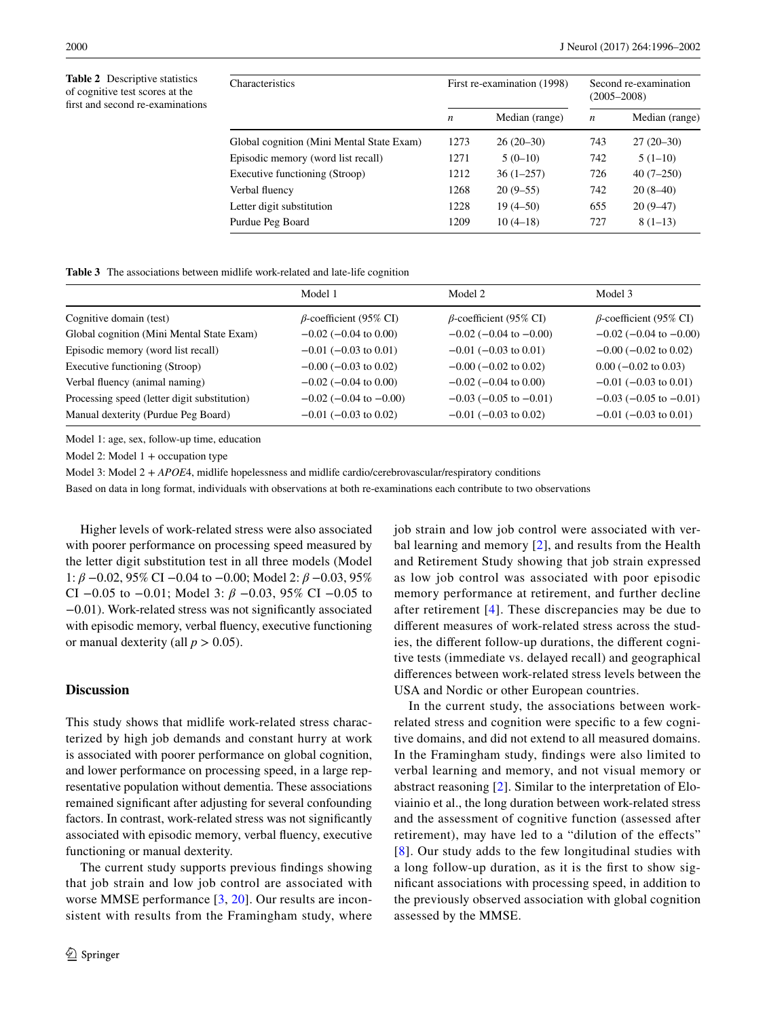<span id="page-4-0"></span>**Table 2** Descriptive statistics of cognitive test scores at the frst and second re-examinations

| Characteristics                           | First re-examination (1998) |                | Second re-examination<br>$(2005 - 2008)$ |                |
|-------------------------------------------|-----------------------------|----------------|------------------------------------------|----------------|
|                                           | n                           | Median (range) | $\boldsymbol{n}$                         | Median (range) |
| Global cognition (Mini Mental State Exam) | 1273                        | $26(20-30)$    | 743                                      | $27(20-30)$    |
| Episodic memory (word list recall)        | 1271                        | $5(0-10)$      | 742                                      | $5(1-10)$      |
| Executive functioning (Stroop)            | 1212                        | $36(1-257)$    | 726                                      | $40(7-250)$    |
| Verbal fluency                            | 1268                        | $20(9-55)$     | 742                                      | $20(8-40)$     |
| Letter digit substitution                 | 1228                        | $19(4 - 50)$   | 655                                      | $20(9-47)$     |
| Purdue Peg Board                          | 1209                        | $10(4-18)$     | 727                                      | $8(1-13)$      |

<span id="page-4-1"></span>**Table 3** The associations between midlife work-related and late-life cognition

|                                              | Model 1                        | Model 2                        | Model 3                        |
|----------------------------------------------|--------------------------------|--------------------------------|--------------------------------|
| Cognitive domain (test)                      | $\beta$ -coefficient (95% CI)  | $\beta$ -coefficient (95% CI)  | $\beta$ -coefficient (95% CI)  |
| Global cognition (Mini Mental State Exam)    | $-0.02$ ( $-0.04$ to 0.00)     | $-0.02$ ( $-0.04$ to $-0.00$ ) | $-0.02$ ( $-0.04$ to $-0.00$ ) |
| Episodic memory (word list recall)           | $-0.01$ ( $-0.03$ to 0.01)     | $-0.01$ ( $-0.03$ to 0.01)     | $-0.00$ ( $-0.02$ to 0.02)     |
| Executive functioning (Stroop)               | $-0.00$ ( $-0.03$ to 0.02)     | $-0.00$ ( $-0.02$ to 0.02)     | $0.00$ ( $-0.02$ to $0.03$ )   |
| Verbal fluency (animal naming)               | $-0.02$ ( $-0.04$ to 0.00)     | $-0.02$ ( $-0.04$ to 0.00)     | $-0.01$ ( $-0.03$ to 0.01)     |
| Processing speed (letter digit substitution) | $-0.02$ ( $-0.04$ to $-0.00$ ) | $-0.03$ ( $-0.05$ to $-0.01$ ) | $-0.03$ ( $-0.05$ to $-0.01$ ) |
| Manual dexterity (Purdue Peg Board)          | $-0.01$ ( $-0.03$ to 0.02)     | $-0.01$ ( $-0.03$ to 0.02)     | $-0.01$ ( $-0.03$ to 0.01)     |

Model 1: age, sex, follow-up time, education

Model 2: Model  $1 +$  occupation type

Model 3: Model 2 + *APOE*4, midlife hopelessness and midlife cardio/cerebrovascular/respiratory conditions

Based on data in long format, individuals with observations at both re-examinations each contribute to two observations

Higher levels of work-related stress were also associated with poorer performance on processing speed measured by the letter digit substitution test in all three models (Model 1: *β* −0.02, 95% CI −0.04 to −0.00; Model 2: *β* −0.03, 95% CI −0.05 to −0.01; Model 3: *β* −0.03, 95% CI −0.05 to −0.01). Work-related stress was not signifcantly associated with episodic memory, verbal fuency, executive functioning or manual dexterity (all  $p > 0.05$ ).

# **Discussion**

This study shows that midlife work-related stress characterized by high job demands and constant hurry at work is associated with poorer performance on global cognition, and lower performance on processing speed, in a large representative population without dementia. These associations remained signifcant after adjusting for several confounding factors. In contrast, work-related stress was not signifcantly associated with episodic memory, verbal fuency, executive functioning or manual dexterity.

The current study supports previous fndings showing that job strain and low job control are associated with worse MMSE performance [\[3,](#page-5-4) [20](#page-6-0)]. Our results are inconsistent with results from the Framingham study, where

job strain and low job control were associated with verbal learning and memory [[2](#page-5-1)], and results from the Health and Retirement Study showing that job strain expressed as low job control was associated with poor episodic memory performance at retirement, and further decline after retirement [[4\]](#page-5-5). These discrepancies may be due to diferent measures of work-related stress across the studies, the diferent follow-up durations, the diferent cognitive tests (immediate vs. delayed recall) and geographical diferences between work-related stress levels between the USA and Nordic or other European countries.

In the current study, the associations between workrelated stress and cognition were specifc to a few cognitive domains, and did not extend to all measured domains. In the Framingham study, fndings were also limited to verbal learning and memory, and not visual memory or abstract reasoning [\[2](#page-5-1)]. Similar to the interpretation of Eloviainio et al., the long duration between work-related stress and the assessment of cognitive function (assessed after retirement), may have led to a "dilution of the efects" [[8](#page-5-3)]. Our study adds to the few longitudinal studies with a long follow-up duration, as it is the frst to show signifcant associations with processing speed, in addition to the previously observed association with global cognition assessed by the MMSE.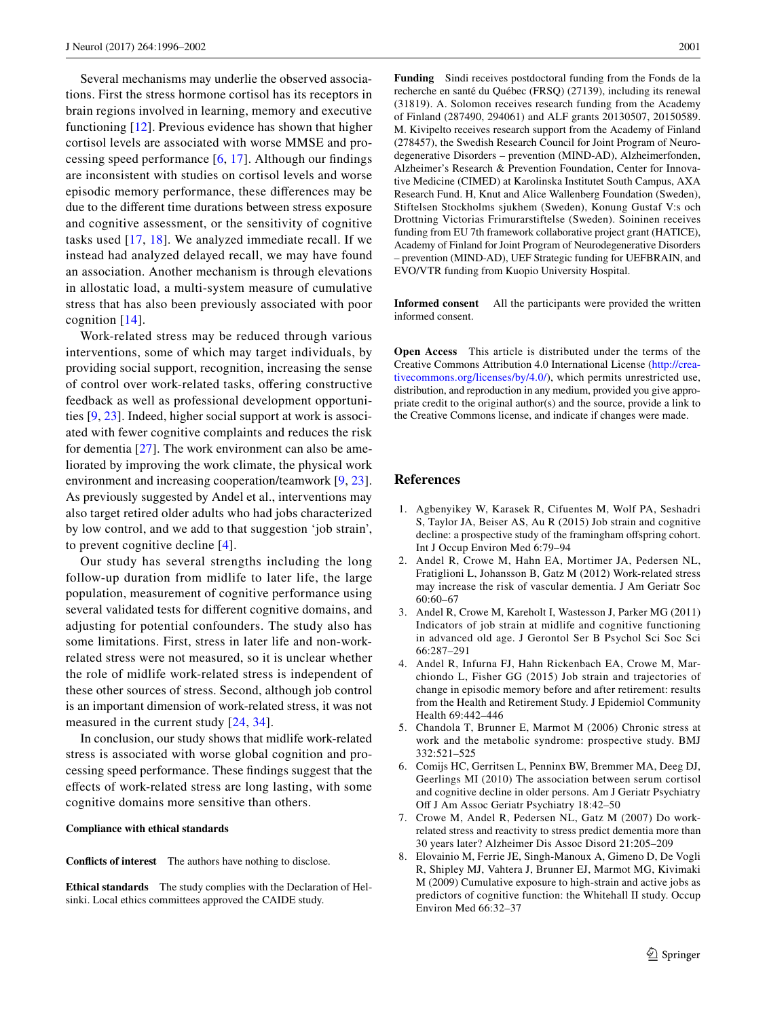Several mechanisms may underlie the observed associations. First the stress hormone cortisol has its receptors in brain regions involved in learning, memory and executive functioning [\[12\]](#page-6-20). Previous evidence has shown that higher cortisol levels are associated with worse MMSE and processing speed performance [[6,](#page-5-6) [17](#page-6-21)]. Although our fndings are inconsistent with studies on cortisol levels and worse episodic memory performance, these diferences may be due to the diferent time durations between stress exposure and cognitive assessment, or the sensitivity of cognitive tasks used [\[17,](#page-6-21) [18\]](#page-6-22). We analyzed immediate recall. If we instead had analyzed delayed recall, we may have found an association. Another mechanism is through elevations in allostatic load, a multi-system measure of cumulative stress that has also been previously associated with poor cognition [[14\]](#page-6-23).

Work-related stress may be reduced through various interventions, some of which may target individuals, by providing social support, recognition, increasing the sense of control over work-related tasks, offering constructive feedback as well as professional development opportunities [[9,](#page-6-24) [23](#page-6-25)]. Indeed, higher social support at work is associated with fewer cognitive complaints and reduces the risk for dementia [\[27](#page-6-8)]. The work environment can also be ameliorated by improving the work climate, the physical work environment and increasing cooperation/teamwork [[9](#page-6-24), [23](#page-6-25)]. As previously suggested by Andel et al., interventions may also target retired older adults who had jobs characterized by low control, and we add to that suggestion 'job strain', to prevent cognitive decline [[4\]](#page-5-5).

Our study has several strengths including the long follow-up duration from midlife to later life, the large population, measurement of cognitive performance using several validated tests for diferent cognitive domains, and adjusting for potential confounders. The study also has some limitations. First, stress in later life and non-workrelated stress were not measured, so it is unclear whether the role of midlife work-related stress is independent of these other sources of stress. Second, although job control is an important dimension of work-related stress, it was not measured in the current study [[24](#page-6-6), [34\]](#page-6-5).

In conclusion, our study shows that midlife work-related stress is associated with worse global cognition and processing speed performance. These fndings suggest that the efects of work-related stress are long lasting, with some cognitive domains more sensitive than others.

### **Compliance with ethical standards**

**Conficts of interest** The authors have nothing to disclose.

**Ethical standards** The study complies with the Declaration of Helsinki. Local ethics committees approved the CAIDE study.

**Funding** Sindi receives postdoctoral funding from the Fonds de la recherche en santé du Québec (FRSQ) (27139), including its renewal (31819). A. Solomon receives research funding from the Academy of Finland (287490, 294061) and ALF grants 20130507, 20150589. M. Kivipelto receives research support from the Academy of Finland (278457), the Swedish Research Council for Joint Program of Neurodegenerative Disorders – prevention (MIND-AD), Alzheimerfonden, Alzheimer's Research & Prevention Foundation, Center for Innovative Medicine (CIMED) at Karolinska Institutet South Campus, AXA Research Fund. H, Knut and Alice Wallenberg Foundation (Sweden), Stiftelsen Stockholms sjukhem (Sweden), Konung Gustaf V:s och Drottning Victorias Frimurarstiftelse (Sweden). Soininen receives funding from EU 7th framework collaborative project grant (HATICE), Academy of Finland for Joint Program of Neurodegenerative Disorders – prevention (MIND-AD), UEF Strategic funding for UEFBRAIN, and EVO/VTR funding from Kuopio University Hospital.

**Informed consent** All the participants were provided the written informed consent.

**Open Access** This article is distributed under the terms of the Creative Commons Attribution 4.0 International License ([http://crea](http://creativecommons.org/licenses/by/4.0/)[tivecommons.org/licenses/by/4.0/\)](http://creativecommons.org/licenses/by/4.0/), which permits unrestricted use, distribution, and reproduction in any medium, provided you give appropriate credit to the original author(s) and the source, provide a link to the Creative Commons license, and indicate if changes were made.

# **References**

- 1. Agbenyikey W, Karasek R, Cifuentes M, Wolf PA, Seshadri S, Taylor JA, Beiser AS, Au R (2015) Job strain and cognitive decline: a prospective study of the framingham offspring cohort. Int J Occup Environ Med 6:79–94
- <span id="page-5-1"></span>2. Andel R, Crowe M, Hahn EA, Mortimer JA, Pedersen NL, Fratiglioni L, Johansson B, Gatz M (2012) Work-related stress may increase the risk of vascular dementia. J Am Geriatr Soc 60:60–67
- <span id="page-5-4"></span>3. Andel R, Crowe M, Kareholt I, Wastesson J, Parker MG (2011) Indicators of job strain at midlife and cognitive functioning in advanced old age. J Gerontol Ser B Psychol Sci Soc Sci 66:287–291
- <span id="page-5-5"></span>4. Andel R, Infurna FJ, Hahn Rickenbach EA, Crowe M, Marchiondo L, Fisher GG (2015) Job strain and trajectories of change in episodic memory before and after retirement: results from the Health and Retirement Study. J Epidemiol Community Health 69:442–446
- <span id="page-5-0"></span>5. Chandola T, Brunner E, Marmot M (2006) Chronic stress at work and the metabolic syndrome: prospective study. BMJ 332:521–525
- <span id="page-5-6"></span>6. Comijs HC, Gerritsen L, Penninx BW, Bremmer MA, Deeg DJ, Geerlings MI (2010) The association between serum cortisol and cognitive decline in older persons. Am J Geriatr Psychiatry Of J Am Assoc Geriatr Psychiatry 18:42–50
- <span id="page-5-2"></span>7. Crowe M, Andel R, Pedersen NL, Gatz M (2007) Do workrelated stress and reactivity to stress predict dementia more than 30 years later? Alzheimer Dis Assoc Disord 21:205–209
- <span id="page-5-3"></span>8. Elovainio M, Ferrie JE, Singh-Manoux A, Gimeno D, De Vogli R, Shipley MJ, Vahtera J, Brunner EJ, Marmot MG, Kivimaki M (2009) Cumulative exposure to high-strain and active jobs as predictors of cognitive function: the Whitehall II study. Occup Environ Med 66:32–37